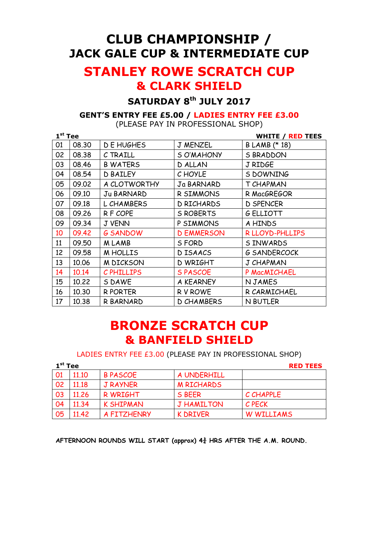# CLUB CHAMPIONSHIP / JACK GALE CUP & INTERMEDIATE CUP

# STANLEY ROWE SCRATCH CUP & CLARK SHIELD

### SATURDAY 8<sup>th</sup> JULY 2017

#### GENT'S ENTRY FEE £5.00 / LADIES ENTRY FEE £3.00

(PLEASE PAY IN PROFESSIONAL SHOP)

| $1st$ Tee |       |                  | <b>WHITE / RED TEES</b> |                     |
|-----------|-------|------------------|-------------------------|---------------------|
| 01        | 08.30 | D E HUGHES       | J MENZEL                | B LAMB (* 18)       |
| 02        | 08.38 | C TRAILL         | S O'MAHONY              | <b>S BRADDON</b>    |
| 03        | 08.46 | <b>B WATERS</b>  | D ALLAN                 | J RIDGE             |
| 04        | 08.54 | <b>D BAILEY</b>  | C HOYLE                 | S DOWNING           |
| 05        | 09.02 | A CLOTWORTHY     | Ja BARNARD              | T CHAPMAN           |
| 06        | 09.10 | Ju BARNARD       | R SIMMONS               | R MacGREGOR         |
| 07        | 09.18 | L CHAMBERS       | D RICHARDS              | <b>D SPENCER</b>    |
| 08        | 09.26 | R F COPE         | <b>S ROBERTS</b>        | <b>G ELLIOTT</b>    |
| 09        | 09.34 | <b>J VENN</b>    | P SIMMONS               | A HINDS             |
| 10        | 09.42 | <b>G SANDOW</b>  | <b>D EMMERSON</b>       | R LLOYD-PHLLIPS     |
| 11        | 09.50 | M LAMB           | S FORD                  | S INWARDS           |
| 12        | 09.58 | M HOLLIS         | D ISAACS                | <b>G SANDERCOCK</b> |
| 13        | 10.06 | <b>M DICKSON</b> | <b>D WRIGHT</b>         | J CHAPMAN           |
| 14        | 10.14 | C PHILLIPS       | <b>SPASCOE</b>          | P MacMICHAEL        |
| 15        | 10.22 | S DAWE           | A KEARNEY               | N JAMES             |
| 16        | 10.30 | R PORTER         | <b>RV ROWE</b>          | R CARMICHAEL        |
| 17        | 10.38 | R BARNARD        | <b>D CHAMBERS</b>       | N BUTLER            |

## BRONZE SCRATCH CUP & BANFIELD SHIELD

LADIES ENTRY FEE £3.00 (PLEASE PAY IN PROFESSIONAL SHOP)

| $1st$ Tee | <b>RED TEES</b> |                  |                   |            |
|-----------|-----------------|------------------|-------------------|------------|
| 01        | 11.10           | <b>B PASCOE</b>  | A UNDERHILL       |            |
| 02        | 11.18           | <b>J RAYNER</b>  | <b>M RICHARDS</b> |            |
| 03        | 11.26           | R WRIGHT         | S BEER            | C CHAPPLE  |
| 04        | 11.34           | <b>K SHIPMAN</b> | <b>J HAMILTON</b> | C PECK     |
| 05        | 11.42           | A FITZHENRY      | <b>K DRIVER</b>   | W WILLIAMS |

AFTERNOON ROUNDS WILL START (approx)  $4\frac{3}{4}$  HRS AFTER THE A.M. ROUND.